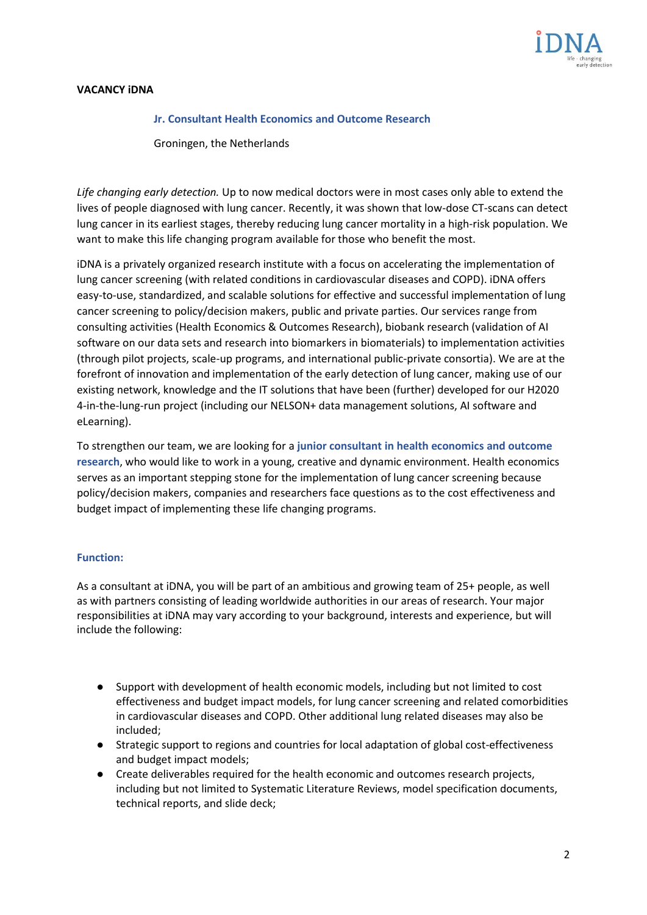

## **VACANCY iDNA**

### **Jr. Consultant Health Economics and Outcome Research**

Groningen, the Netherlands

*Life changing early detection.* Up to now medical doctors were in most cases only able to extend the lives of people diagnosed with lung cancer. Recently, it was shown that low-dose CT-scans can detect lung cancer in its earliest stages, thereby reducing lung cancer mortality in a high-risk population. We want to make this life changing program available for those who benefit the most.

iDNA is a privately organized research institute with a focus on accelerating the implementation of lung cancer screening (with related conditions in cardiovascular diseases and COPD). iDNA offers easy-to-use, standardized, and scalable solutions for effective and successful implementation of lung cancer screening to policy/decision makers, public and private parties. Our services range from consulting activities (Health Economics & Outcomes Research), biobank research (validation of AI software on our data sets and research into biomarkers in biomaterials) to implementation activities (through pilot projects, scale-up programs, and international public-private consortia). We are at the forefront of innovation and implementation of the early detection of lung cancer, making use of our existing network, knowledge and the IT solutions that have been (further) developed for our H2020 4-in-the-lung-run project (including our NELSON+ data management solutions, AI software and eLearning).

To strengthen our team, we are looking for a **junior consultant in health economics and outcome research**, who would like to work in a young, creative and dynamic environment. Health economics serves as an important stepping stone for the implementation of lung cancer screening because policy/decision makers, companies and researchers face questions as to the cost effectiveness and budget impact of implementing these life changing programs.

### **Function:**

As a consultant at iDNA, you will be part of an ambitious and growing team of 25+ people, as well as with partners consisting of leading worldwide authorities in our areas of research. Your major responsibilities at iDNA may vary according to your background, interests and experience, but will include the following:

- Support with development of health economic models, including but not limited to cost effectiveness and budget impact models, for lung cancer screening and related comorbidities in cardiovascular diseases and COPD. Other additional lung related diseases may also be included;
- Strategic support to regions and countries for local adaptation of global cost-effectiveness and budget impact models;
- Create deliverables required for the health economic and outcomes research projects, including but not limited to Systematic Literature Reviews, model specification documents, technical reports, and slide deck;